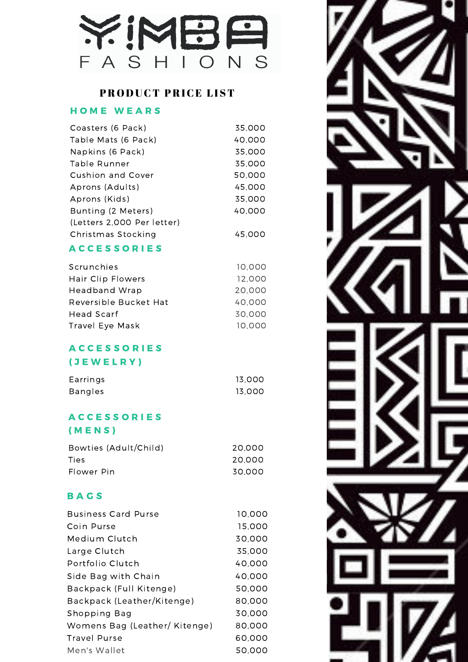

## PRODUCT PRICE LIST

## HOME WEARS

| Coasters (6 Pack)          | 35.000 |
|----------------------------|--------|
| Table Mats (6 Pack)        | 40.000 |
| Napkins (6 Pack)           | 35,000 |
| Table Runner               | 35.000 |
| Cushion and Cover          | 50.000 |
| Aprons (Adults)            | 45.000 |
| Aprons (Kids)              | 35.000 |
| Bunting (2 Meters)         | 40.000 |
| (Letters 2,000 Per letter) |        |
| Christmas Stocking         | 45.000 |

#### **ACCESSORIES**

| Scrunchies            | 10.000 |
|-----------------------|--------|
| Hair Clip Flowers     | 12,000 |
| Headband Wrap         | 20,000 |
| Reversible Bucket Hat | 40,000 |
| Head Scarf            | 30,000 |
| Travel Eye Mask       | 10,000 |

## A C C E S S O R I E S

## ( J E W E L R Y )

| Earrings       | 13.000 |
|----------------|--------|
| <b>Bangles</b> | 13.000 |

# **ACCESSORIES**

## ( M E N S )

| Bowties (Adult/Child) | 20.000 |
|-----------------------|--------|
| Ties                  | 20.000 |
| Flower Pin            | 30.000 |

#### **BAGS**

| <b>Business Card Purse</b>    | 10,000 |
|-------------------------------|--------|
| Coin Purse                    | 15,000 |
| Medium Clutch                 | 30,000 |
| Large Clutch                  | 35,000 |
| Portfolio Clutch              | 40.000 |
| Side Bag with Chain           | 40.000 |
| Backpack (Full Kitenge)       | 50.000 |
| Backpack (Leather/Kitenge)    | 80,000 |
| Shopping Bag                  | 30,000 |
| Womens Bag (Leather/ Kitenge) | 80,000 |
| Travel Purse                  | 60,000 |
| Men's Wallet                  | 50.000 |